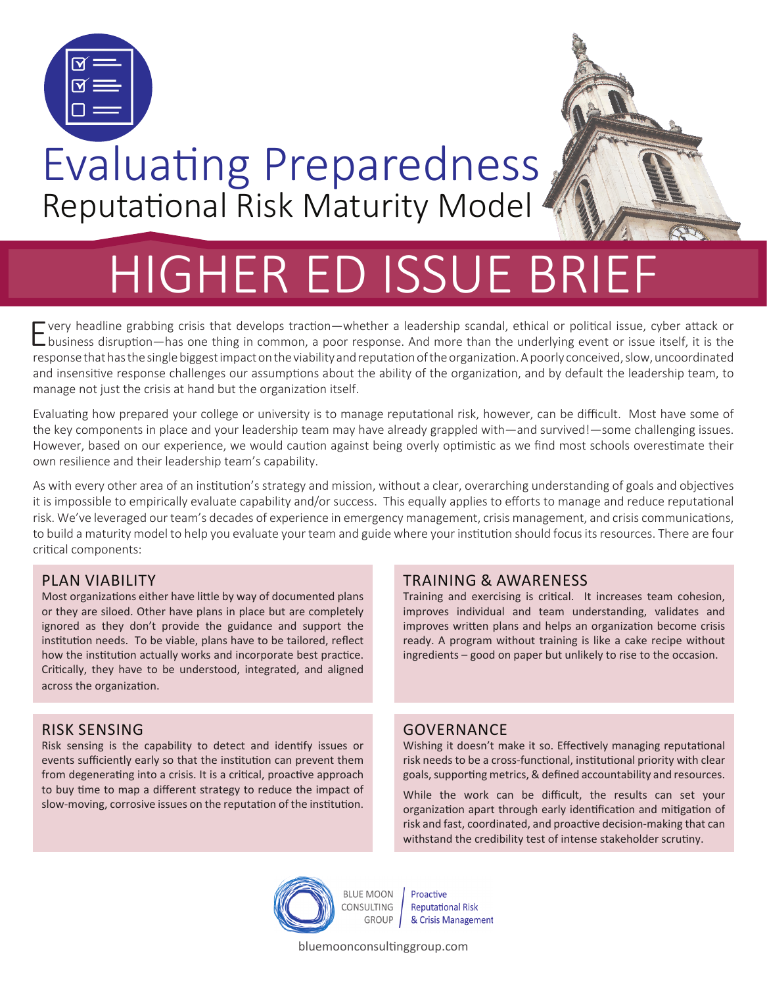

## Evaluating Preparedness Reputational Risk Maturity Model

# HIGHER ED ISSUE BRIEF

Every headline grabbing crisis that develops traction—whether a leadership scandal, ethical or political issue, cyber attack or business disruption—has one thing in common, a poor response. And more than the underlying event or issue itself, it is the response that has the single biggest impact on the viability and reputation of the organization. A poorly conceived, slow, uncoordinated and insensitive response challenges our assumptions about the ability of the organization, and by default the leadership team, to manage not just the crisis at hand but the organization itself.

Evaluating how prepared your college or university is to manage reputational risk, however, can be difficult. Most have some of the key components in place and your leadership team may have already grappled with—and survived!—some challenging issues. However, based on our experience, we would caution against being overly optimistic as we find most schools overestimate their own resilience and their leadership team's capability.

As with every other area of an institution's strategy and mission, without a clear, overarching understanding of goals and objectives it is impossible to empirically evaluate capability and/or success. This equally applies to efforts to manage and reduce reputational risk. We've leveraged our team's decades of experience in emergency management, crisis management, and crisis communications, to build a maturity model to help you evaluate your team and guide where your institution should focus its resources. There are four critical components:

#### PLAN VIABILITY

Most organizations either have little by way of documented plans or they are siloed. Other have plans in place but are completely ignored as they don't provide the guidance and support the institution needs. To be viable, plans have to be tailored, reflect how the institution actually works and incorporate best practice. Critically, they have to be understood, integrated, and aligned across the organization.

#### RISK SENSING

Risk sensing is the capability to detect and identify issues or events sufficiently early so that the institution can prevent them from degenerating into a crisis. It is a critical, proactive approach to buy time to map a different strategy to reduce the impact of slow-moving, corrosive issues on the reputation of the institution.

#### TRAINING & AWARENESS

Training and exercising is critical. It increases team cohesion, improves individual and team understanding, validates and improves written plans and helps an organization become crisis ready. A program without training is like a cake recipe without ingredients – good on paper but unlikely to rise to the occasion.

#### **GOVERNANCE**

Wishing it doesn't make it so. Effectively managing reputational risk needs to be a cross-functional, institutional priority with clear goals, supporting metrics, & defined accountability and resources.

While the work can be difficult, the results can set your organization apart through early identification and mitigation of risk and fast, coordinated, and proactive decision-making that can withstand the credibility test of intense stakeholder scrutiny.



Proactive **Reputational Risk** GROUP & Crisis Management